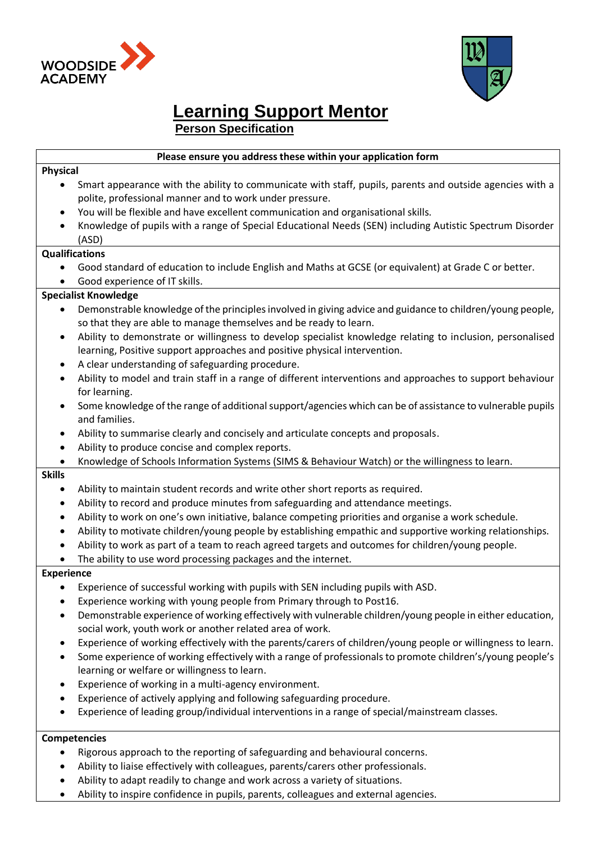



# **Learning Support Mentor**

 **Person Specification**

# **Please ensure you address these within your application form**

# **Physical**

- Smart appearance with the ability to communicate with staff, pupils, parents and outside agencies with a polite, professional manner and to work under pressure.
- You will be flexible and have excellent communication and organisational skills.
- Knowledge of pupils with a range of Special Educational Needs (SEN) including Autistic Spectrum Disorder (ASD)

# **Qualifications**

 Good standard of education to include English and Maths at GCSE (or equivalent) at Grade C or better. Good experience of IT skills.

# **Specialist Knowledge**

- Demonstrable knowledge of the principles involved in giving advice and guidance to children/young people, so that they are able to manage themselves and be ready to learn.
- Ability to demonstrate or willingness to develop specialist knowledge relating to inclusion, personalised learning, Positive support approaches and positive physical intervention.
- A clear understanding of safeguarding procedure.
- Ability to model and train staff in a range of different interventions and approaches to support behaviour for learning.
- Some knowledge of the range of additional support/agencies which can be of assistance to vulnerable pupils and families.
- Ability to summarise clearly and concisely and articulate concepts and proposals.
- Ability to produce concise and complex reports.
- Knowledge of Schools Information Systems (SIMS & Behaviour Watch) or the willingness to learn.

#### **Skills**

- Ability to maintain student records and write other short reports as required.
- Ability to record and produce minutes from safeguarding and attendance meetings.
- Ability to work on one's own initiative, balance competing priorities and organise a work schedule.
- Ability to motivate children/young people by establishing empathic and supportive working relationships.
- Ability to work as part of a team to reach agreed targets and outcomes for children/young people.
- The ability to use word processing packages and the internet.

# **Experience**

- Experience of successful working with pupils with SEN including pupils with ASD.
- Experience working with young people from Primary through to Post16.
- Demonstrable experience of working effectively with vulnerable children/young people in either education, social work, youth work or another related area of work.
- Experience of working effectively with the parents/carers of children/young people or willingness to learn.
- Some experience of working effectively with a range of professionals to promote children's/young people's learning or welfare or willingness to learn.
- Experience of working in a multi-agency environment.
- Experience of actively applying and following safeguarding procedure.
- Experience of leading group/individual interventions in a range of special/mainstream classes.

# **Competencies**

- Rigorous approach to the reporting of safeguarding and behavioural concerns.
- Ability to liaise effectively with colleagues, parents/carers other professionals.
- Ability to adapt readily to change and work across a variety of situations.
- Ability to inspire confidence in pupils, parents, colleagues and external agencies.